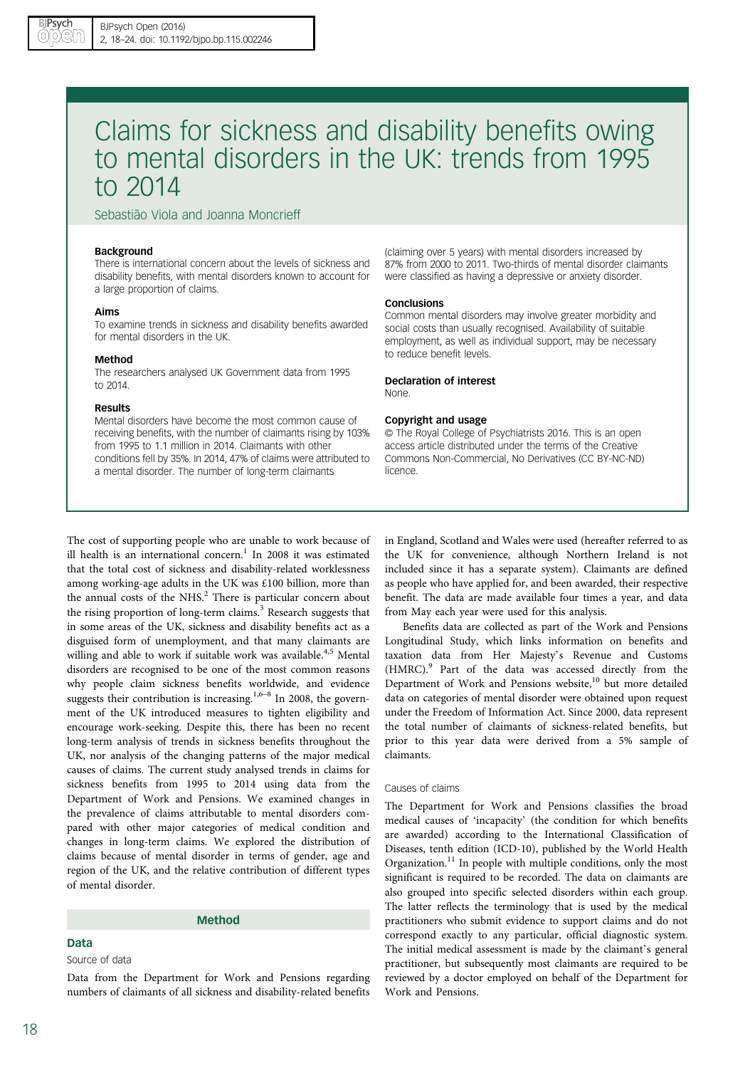# Claims for sickness and disability benefits owing to mental disorders in the UK: trends from 1995 to 2014

# Sebastião Viola and Joanna Moncrieff

#### Background

There is international concern about the levels of sickness and disability benefits, with mental disorders known to account for a large proportion of claims.

#### Aims

To examine trends in sickness and disability benefits awarded for mental disorders in the UK.

#### Method

The researchers analysed UK Government data from 1995 to 2014.

## Results

Mental disorders have become the most common cause of receiving benefits, with the number of claimants rising by 103% from 1995 to 1.1 million in 2014. Claimants with other conditions fell by 35%. In 2014, 47% of claims were attributed to a mental disorder. The number of long-term claimants

(claiming over 5 years) with mental disorders increased by 87% from 2000 to 2011. Two-thirds of mental disorder claimants were classified as having a depressive or anxiety disorder.

#### **Conclusions**

Common mental disorders may involve greater morbidity and social costs than usually recognised. Availability of suitable employment, as well as individual support, may be necessary to reduce benefit levels.

#### Declaration of interest None.

#### Copyright and usage

© The Royal College of Psychiatrists 2016. This is an open access article distributed under the terms of the Creative Commons Non-Commercial, No Derivatives (CC BY-NC-ND) licence.

The cost of supporting people who are unable to work because of ill health is an international concern.<sup>[1](#page-5-0)</sup> In 2008 it was estimated that the total cost of sickness and disability-related worklessness among working-age adults in the UK was £100 billion, more than the annual costs of the NHS.<sup>[2](#page-5-0)</sup> There is particular concern about the rising proportion of long-term claims.<sup>[3](#page-5-0)</sup> Research suggests that in some areas of the UK, sickness and disability benefits act as a disguised form of unemployment, and that many claimants are willing and able to work if suitable work was available.<sup>[4](#page-5-0),[5](#page-5-0)</sup> Mental disorders are recognised to be one of the most common reasons why people claim sickness benefits worldwide, and evidence suggests their contribution is increasing.<sup>[1,6](#page-5-0)–[8](#page-5-0)</sup> In 2008, the government of the UK introduced measures to tighten eligibility and encourage work-seeking. Despite this, there has been no recent long-term analysis of trends in sickness benefits throughout the UK, nor analysis of the changing patterns of the major medical causes of claims. The current study analysed trends in claims for sickness benefits from 1995 to 2014 using data from the Department of Work and Pensions. We examined changes in the prevalence of claims attributable to mental disorders compared with other major categories of medical condition and changes in long-term claims. We explored the distribution of claims because of mental disorder in terms of gender, age and region of the UK, and the relative contribution of different types of mental disorder.

# Method

# Data

## Source of data

Data from the Department for Work and Pensions regarding numbers of claimants of all sickness and disability-related benefits

in England, Scotland and Wales were used (hereafter referred to as the UK for convenience, although Northern Ireland is not included since it has a separate system). Claimants are defined as people who have applied for, and been awarded, their respective benefit. The data are made available four times a year, and data from May each year were used for this analysis.

Benefits data are collected as part of the Work and Pensions Longitudinal Study, which links information on benefits and taxation data from Her Majesty's Revenue and Customs (HMRC).[9](#page-5-0) Part of the data was accessed directly from the Department of Work and Pensions website,<sup>[10](#page-5-0)</sup> but more detailed data on categories of mental disorder were obtained upon request under the Freedom of Information Act. Since 2000, data represent the total number of claimants of sickness-related benefits, but prior to this year data were derived from a 5% sample of claimants.

## Causes of claims

The Department for Work and Pensions classifies the broad medical causes of 'incapacity' (the condition for which benefits are awarded) according to the International Classification of Diseases, tenth edition (ICD-10), published by the World Health Organization.<sup>[11](#page-5-0)</sup> In people with multiple conditions, only the most significant is required to be recorded. The data on claimants are also grouped into specific selected disorders within each group. The latter reflects the terminology that is used by the medical practitioners who submit evidence to support claims and do not correspond exactly to any particular, official diagnostic system. The initial medical assessment is made by the claimant's general practitioner, but subsequently most claimants are required to be reviewed by a doctor employed on behalf of the Department for Work and Pensions.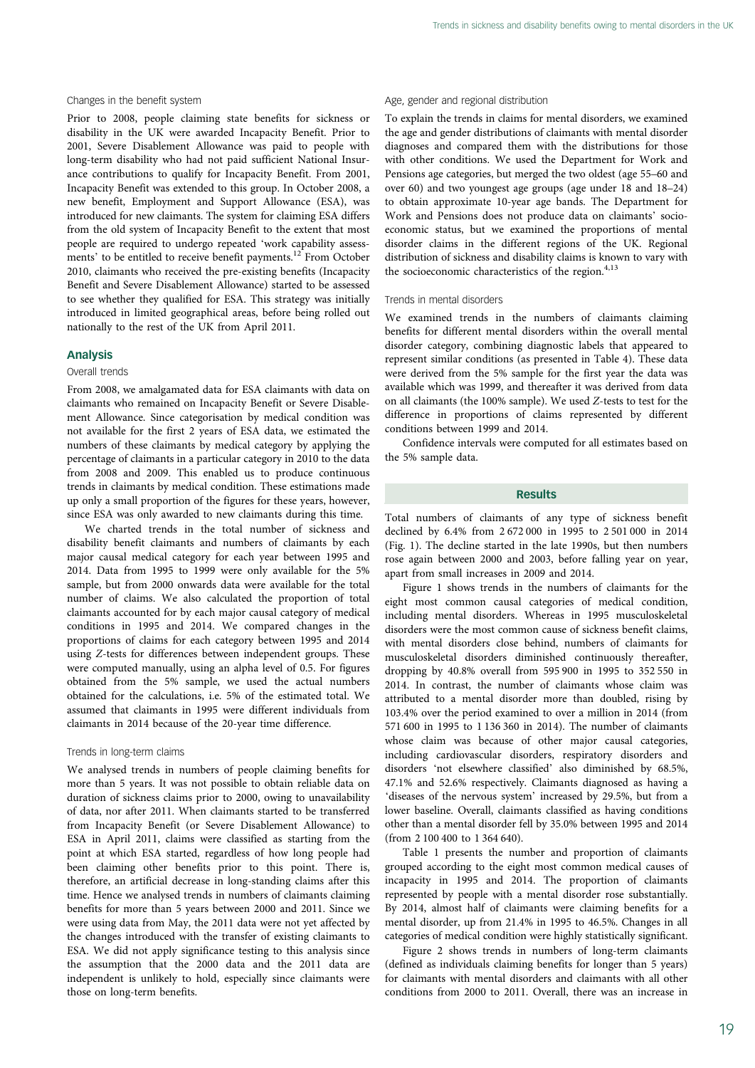# Changes in the benefit system

Prior to 2008, people claiming state benefits for sickness or disability in the UK were awarded Incapacity Benefit. Prior to 2001, Severe Disablement Allowance was paid to people with long-term disability who had not paid sufficient National Insurance contributions to qualify for Incapacity Benefit. From 2001, Incapacity Benefit was extended to this group. In October 2008, a new benefit, Employment and Support Allowance (ESA), was introduced for new claimants. The system for claiming ESA differs from the old system of Incapacity Benefit to the extent that most people are required to undergo repeated 'work capability assess-ments' to be entitled to receive benefit payments.<sup>[12](#page-5-0)</sup> From October 2010, claimants who received the pre-existing benefits (Incapacity Benefit and Severe Disablement Allowance) started to be assessed to see whether they qualified for ESA. This strategy was initially introduced in limited geographical areas, before being rolled out nationally to the rest of the UK from April 2011.

## Analysis

## Overall trends

From 2008, we amalgamated data for ESA claimants with data on claimants who remained on Incapacity Benefit or Severe Disablement Allowance. Since categorisation by medical condition was not available for the first 2 years of ESA data, we estimated the numbers of these claimants by medical category by applying the percentage of claimants in a particular category in 2010 to the data from 2008 and 2009. This enabled us to produce continuous trends in claimants by medical condition. These estimations made up only a small proportion of the figures for these years, however, since ESA was only awarded to new claimants during this time.

We charted trends in the total number of sickness and disability benefit claimants and numbers of claimants by each major causal medical category for each year between 1995 and 2014. Data from 1995 to 1999 were only available for the 5% sample, but from 2000 onwards data were available for the total number of claims. We also calculated the proportion of total claimants accounted for by each major causal category of medical conditions in 1995 and 2014. We compared changes in the proportions of claims for each category between 1995 and 2014 using Z-tests for differences between independent groups. These were computed manually, using an alpha level of 0.5. For figures obtained from the 5% sample, we used the actual numbers obtained for the calculations, i.e. 5% of the estimated total. We assumed that claimants in 1995 were different individuals from claimants in 2014 because of the 20-year time difference.

#### Trends in long-term claims

We analysed trends in numbers of people claiming benefits for more than 5 years. It was not possible to obtain reliable data on duration of sickness claims prior to 2000, owing to unavailability of data, nor after 2011. When claimants started to be transferred from Incapacity Benefit (or Severe Disablement Allowance) to ESA in April 2011, claims were classified as starting from the point at which ESA started, regardless of how long people had been claiming other benefits prior to this point. There is, therefore, an artificial decrease in long-standing claims after this time. Hence we analysed trends in numbers of claimants claiming benefits for more than 5 years between 2000 and 2011. Since we were using data from May, the 2011 data were not yet affected by the changes introduced with the transfer of existing claimants to ESA. We did not apply significance testing to this analysis since the assumption that the 2000 data and the 2011 data are independent is unlikely to hold, especially since claimants were those on long-term benefits.

#### Age, gender and regional distribution

To explain the trends in claims for mental disorders, we examined the age and gender distributions of claimants with mental disorder diagnoses and compared them with the distributions for those with other conditions. We used the Department for Work and Pensions age categories, but merged the two oldest (age 55–60 and over 60) and two youngest age groups (age under 18 and 18–24) to obtain approximate 10-year age bands. The Department for Work and Pensions does not produce data on claimants' socioeconomic status, but we examined the proportions of mental disorder claims in the different regions of the UK. Regional distribution of sickness and disability claims is known to vary with the socioeconomic characteristics of the region. $4,13$ 

## Trends in mental disorders

We examined trends in the numbers of claimants claiming benefits for different mental disorders within the overall mental disorder category, combining diagnostic labels that appeared to represent similar conditions (as presented in [Table 4](#page-4-0)). These data were derived from the 5% sample for the first year the data was available which was 1999, and thereafter it was derived from data on all claimants (the 100% sample). We used Z-tests to test for the difference in proportions of claims represented by different conditions between 1999 and 2014.

Confidence intervals were computed for all estimates based on the 5% sample data.

## Results

Total numbers of claimants of any type of sickness benefit declined by 6.4% from 2 672 000 in 1995 to 2 501 000 in 2014 ([Fig. 1](#page-2-0)). The decline started in the late 1990s, but then numbers rose again between 2000 and 2003, before falling year on year, apart from small increases in 2009 and 2014.

[Figure 1](#page-2-0) shows trends in the numbers of claimants for the eight most common causal categories of medical condition, including mental disorders. Whereas in 1995 musculoskeletal disorders were the most common cause of sickness benefit claims, with mental disorders close behind, numbers of claimants for musculoskeletal disorders diminished continuously thereafter, dropping by 40.8% overall from 595 900 in 1995 to 352 550 in 2014. In contrast, the number of claimants whose claim was attributed to a mental disorder more than doubled, rising by 103.4% over the period examined to over a million in 2014 (from 571 600 in 1995 to 1 136 360 in 2014). The number of claimants whose claim was because of other major causal categories, including cardiovascular disorders, respiratory disorders and disorders 'not elsewhere classified' also diminished by 68.5%, 47.1% and 52.6% respectively. Claimants diagnosed as having a 'diseases of the nervous system' increased by 29.5%, but from a lower baseline. Overall, claimants classified as having conditions other than a mental disorder fell by 35.0% between 1995 and 2014 (from 2 100 400 to 1 364 640).

[Table 1](#page-2-0) presents the number and proportion of claimants grouped according to the eight most common medical causes of incapacity in 1995 and 2014. The proportion of claimants represented by people with a mental disorder rose substantially. By 2014, almost half of claimants were claiming benefits for a mental disorder, up from 21.4% in 1995 to 46.5%. Changes in all categories of medical condition were highly statistically significant.

[Figure 2](#page-3-0) shows trends in numbers of long-term claimants (defined as individuals claiming benefits for longer than 5 years) for claimants with mental disorders and claimants with all other conditions from 2000 to 2011. Overall, there was an increase in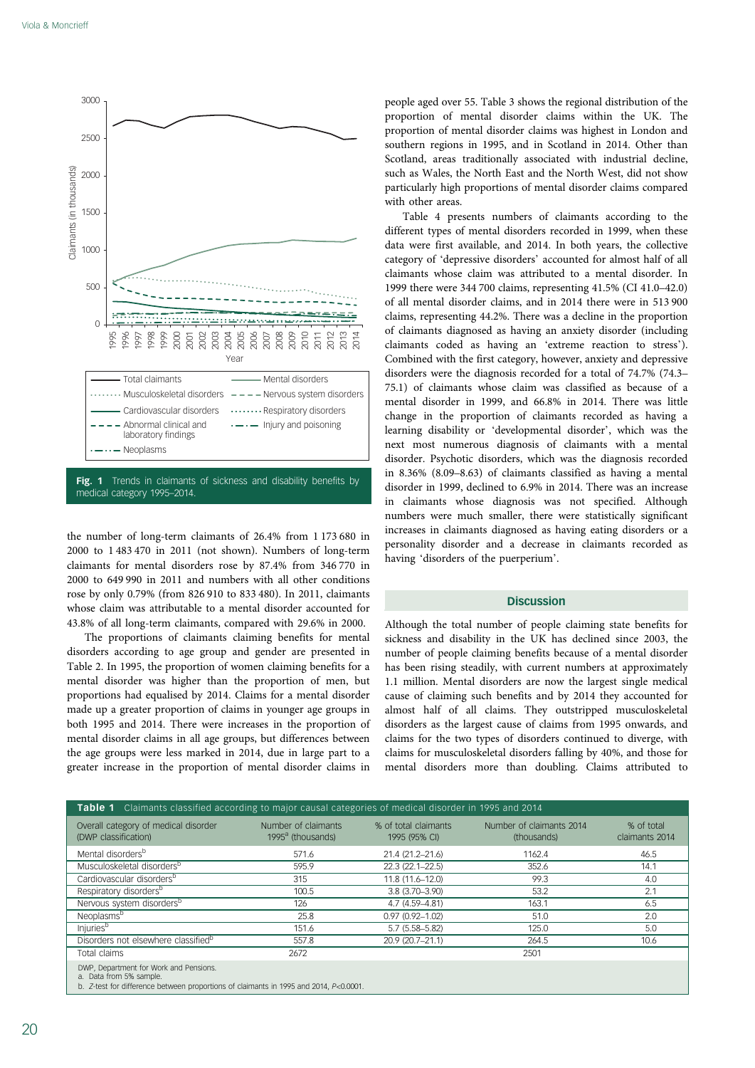<span id="page-2-0"></span>

medical category 1995–2014.

the number of long-term claimants of 26.4% from 1 173 680 in 2000 to 1 483 470 in 2011 (not shown). Numbers of long-term claimants for mental disorders rose by 87.4% from 346 770 in 2000 to 649 990 in 2011 and numbers with all other conditions rose by only 0.79% (from 826 910 to 833 480). In 2011, claimants whose claim was attributable to a mental disorder accounted for 43.8% of all long-term claimants, compared with 29.6% in 2000.

The proportions of claimants claiming benefits for mental disorders according to age group and gender are presented in [Table 2.](#page-3-0) In 1995, the proportion of women claiming benefits for a mental disorder was higher than the proportion of men, but proportions had equalised by 2014. Claims for a mental disorder made up a greater proportion of claims in younger age groups in both 1995 and 2014. There were increases in the proportion of mental disorder claims in all age groups, but differences between the age groups were less marked in 2014, due in large part to a greater increase in the proportion of mental disorder claims in

people aged over 55. [Table 3](#page-3-0) shows the regional distribution of the proportion of mental disorder claims within the UK. The proportion of mental disorder claims was highest in London and southern regions in 1995, and in Scotland in 2014. Other than Scotland, areas traditionally associated with industrial decline, such as Wales, the North East and the North West, did not show particularly high proportions of mental disorder claims compared with other areas.

[Table 4](#page-4-0) presents numbers of claimants according to the different types of mental disorders recorded in 1999, when these data were first available, and 2014. In both years, the collective category of 'depressive disorders' accounted for almost half of all claimants whose claim was attributed to a mental disorder. In 1999 there were 344 700 claims, representing 41.5% (CI 41.0–42.0) of all mental disorder claims, and in 2014 there were in 513 900 claims, representing 44.2%. There was a decline in the proportion of claimants diagnosed as having an anxiety disorder (including claimants coded as having an 'extreme reaction to stress'). Combined with the first category, however, anxiety and depressive disorders were the diagnosis recorded for a total of 74.7% (74.3– 75.1) of claimants whose claim was classified as because of a mental disorder in 1999, and 66.8% in 2014. There was little change in the proportion of claimants recorded as having a learning disability or 'developmental disorder', which was the next most numerous diagnosis of claimants with a mental disorder. Psychotic disorders, which was the diagnosis recorded in 8.36% (8.09–8.63) of claimants classified as having a mental disorder in 1999, declined to 6.9% in 2014. There was an increase in claimants whose diagnosis was not specified. Although numbers were much smaller, there were statistically significant increases in claimants diagnosed as having eating disorders or a personality disorder and a decrease in claimants recorded as having 'disorders of the puerperium'.

# **Discussion**

Although the total number of people claiming state benefits for sickness and disability in the UK has declined since 2003, the number of people claiming benefits because of a mental disorder has been rising steadily, with current numbers at approximately 1.1 million. Mental disorders are now the largest single medical cause of claiming such benefits and by 2014 they accounted for almost half of all claims. They outstripped musculoskeletal disorders as the largest cause of claims from 1995 onwards, and claims for the two types of disorders continued to diverge, with claims for musculoskeletal disorders falling by 40%, and those for mental disorders more than doubling. Claims attributed to

| Claimants classified according to major causal categories of medical disorder in 1995 and 2014<br>Table 1                                                  |                                                      |                                       |                                         |                              |  |  |  |
|------------------------------------------------------------------------------------------------------------------------------------------------------------|------------------------------------------------------|---------------------------------------|-----------------------------------------|------------------------------|--|--|--|
| Overall category of medical disorder<br>(DWP classification)                                                                                               | Number of claimants<br>1995 <sup>a</sup> (thousands) | % of total claimants<br>1995 (95% CI) | Number of claimants 2014<br>(thousands) | % of total<br>claimants 2014 |  |  |  |
| Mental disorders <sup>b</sup>                                                                                                                              | 571.6                                                | 21.4 (21.2-21.6)                      | 1162.4                                  | 46.5                         |  |  |  |
| Musculoskeletal disorders <sup>b</sup>                                                                                                                     | 595.9                                                | 22.3 (22.1-22.5)                      | 352.6                                   | 14.1                         |  |  |  |
| Cardiovascular disorders <sup>b</sup>                                                                                                                      | 315                                                  | 11.8 (11.6-12.0)                      | 99.3                                    | 4.0                          |  |  |  |
| Respiratory disorders <sup>b</sup>                                                                                                                         | 100.5                                                | $3.8(3.70 - 3.90)$                    | 53.2                                    | 2.1                          |  |  |  |
| Nervous system disordersb                                                                                                                                  | 126                                                  | 4.7 (4.59-4.81)                       | 163.1                                   | 6.5                          |  |  |  |
| Neoplasmsb                                                                                                                                                 | 25.8                                                 | $0.97(0.92 - 1.02)$                   | 51.0                                    | 2.0                          |  |  |  |
| <b>Injuries</b> b                                                                                                                                          | 151.6                                                | $5.7(5.58 - 5.82)$                    | 125.0                                   | 5.0                          |  |  |  |
| Disorders not elsewhere classified <sup>b</sup>                                                                                                            | 557.8                                                | 20.9 (20.7-21.1)                      | 264.5                                   | 10.6                         |  |  |  |
| Total claims                                                                                                                                               | 2672                                                 |                                       | 2501                                    |                              |  |  |  |
| DWP, Department for Work and Pensions.<br>a. Data from 5% sample.<br>b. Z-test for difference between proportions of claimants in 1995 and 2014, P<0.0001. |                                                      |                                       |                                         |                              |  |  |  |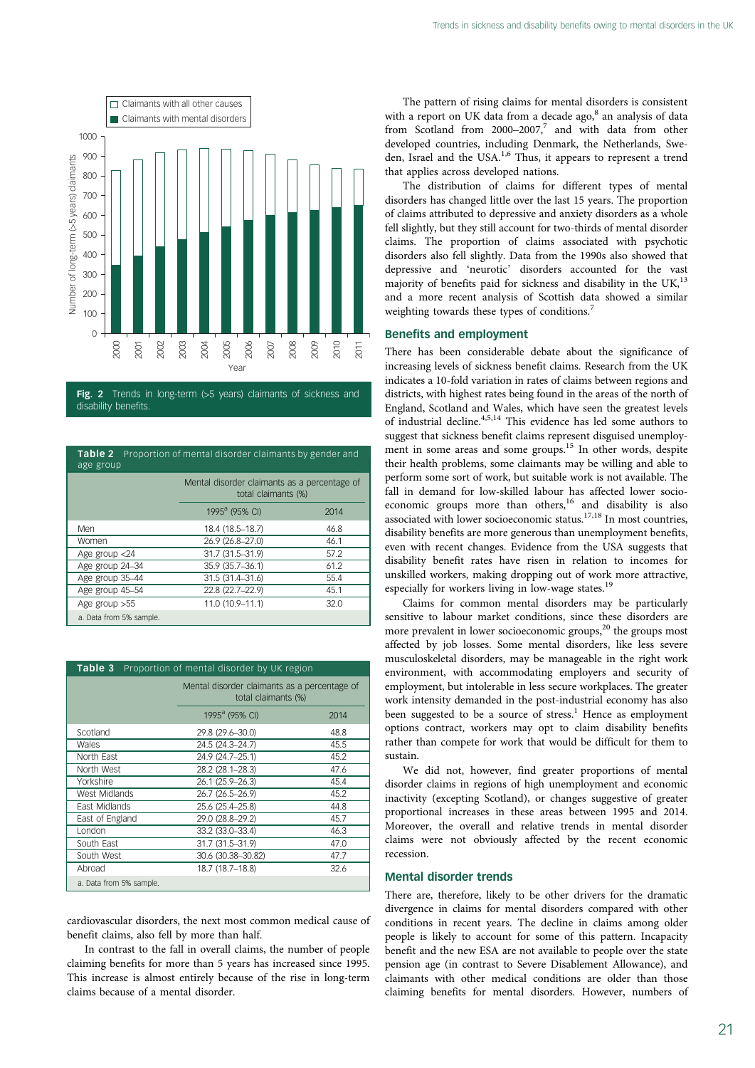

<span id="page-3-0"></span>

Fig. 2 Trends in long-term (>5 years) claimants of sickness and disability benefits.

Table 2 Proportion of mental disorder claimants by gender and age group

|                         | Mental disorder claimants as a percentage of<br>total claimants (%) |      |  |
|-------------------------|---------------------------------------------------------------------|------|--|
|                         | 1995 <sup>a</sup> (95% CI)                                          | 2014 |  |
| Men                     | 18.4 (18.5-18.7)                                                    | 46.8 |  |
| Women                   | 26.9 (26.8-27.0)                                                    | 46.1 |  |
| Age group <24           | 31.7 (31.5-31.9)                                                    | 57.2 |  |
| Age group 24-34         | 35.9 (35.7-36.1)                                                    | 61.2 |  |
| Age group 35-44         | 31.5 (31.4-31.6)                                                    | 55.4 |  |
| Age group 45-54         | 22.8 (22.7-22.9)                                                    | 45.1 |  |
| Age group > 55          | 11.0 (10.9-11.1)                                                    | 32.0 |  |
| a. Data from 5% sample. |                                                                     |      |  |

| Table 3         |                         | Proportion of mental disorder by UK region                          |      |  |
|-----------------|-------------------------|---------------------------------------------------------------------|------|--|
|                 |                         | Mental disorder claimants as a percentage of<br>total claimants (%) |      |  |
|                 |                         | 1995 <sup>a</sup> (95% CI)                                          | 2014 |  |
| Scotland        |                         | 29.8 (29.6-30.0)                                                    | 48.8 |  |
| Wales           |                         | 24.5 (24.3-24.7)                                                    | 45.5 |  |
| North Fast      |                         | 24.9 (24.7-25.1)                                                    | 45.2 |  |
| North West      |                         | 28.2 (28.1-28.3)                                                    | 47.6 |  |
| Yorkshire       |                         | 26.1 (25.9-26.3)                                                    | 45.4 |  |
| West Midlands   |                         | 26.7 (26.5-26.9)                                                    | 45.2 |  |
| Fast Midlands   |                         | 25.6 (25.4-25.8)                                                    | 44.8 |  |
| East of England |                         | 29.0 (28.8-29.2)                                                    | 45.7 |  |
| London          |                         | 33.2 (33.0-33.4)                                                    | 46.3 |  |
| South East      |                         | 31.7 (31.5-31.9)                                                    | 47.0 |  |
| South West      |                         | 30.6 (30.38-30.82)                                                  | 47.7 |  |
| Abroad          |                         | 18.7 (18.7-18.8)                                                    | 32.6 |  |
|                 | a. Data from 5% sample. |                                                                     |      |  |

cardiovascular disorders, the next most common medical cause of benefit claims, also fell by more than half.

In contrast to the fall in overall claims, the number of people claiming benefits for more than 5 years has increased since 1995. This increase is almost entirely because of the rise in long-term claims because of a mental disorder.

The pattern of rising claims for mental disorders is consistent with a report on UK data from a decade ago, $8$  an analysis of data from Scotland from  $2000-2007$  $2000-2007$ ,<sup>7</sup> and with data from other developed countries, including Denmark, the Netherlands, Swe-den, Israel and the USA.<sup>1,[6](#page-5-0)</sup> Thus, it appears to represent a trend that applies across developed nations.

The distribution of claims for different types of mental disorders has changed little over the last 15 years. The proportion of claims attributed to depressive and anxiety disorders as a whole fell slightly, but they still account for two-thirds of mental disorder claims. The proportion of claims associated with psychotic disorders also fell slightly. Data from the 1990s also showed that depressive and 'neurotic' disorders accounted for the vast majority of benefits paid for sickness and disability in the UK, $^{13}$  $^{13}$  $^{13}$ and a more recent analysis of Scottish data showed a similar weighting towards these types of conditions.<sup>[7](#page-5-0)</sup>

# Benefits and employment

There has been considerable debate about the significance of increasing levels of sickness benefit claims. Research from the UK indicates a 10-fold variation in rates of claims between regions and districts, with highest rates being found in the areas of the north of England, Scotland and Wales, which have seen the greatest levels of industrial decline.[4,5](#page-5-0),[14](#page-5-0) This evidence has led some authors to suggest that sickness benefit claims represent disguised unemploy-ment in some areas and some groups.<sup>[15](#page-5-0)</sup> In other words, despite their health problems, some claimants may be willing and able to perform some sort of work, but suitable work is not available. The fall in demand for low-skilled labour has affected lower socio-economic groups more than others,<sup>[16](#page-5-0)</sup> and disability is also associated with lower socioeconomic status.[17,18](#page-5-0) In most countries, disability benefits are more generous than unemployment benefits, even with recent changes. Evidence from the USA suggests that disability benefit rates have risen in relation to incomes for unskilled workers, making dropping out of work more attractive, especially for workers living in low-wage states.<sup>[19](#page-6-0)</sup>

Claims for common mental disorders may be particularly sensitive to labour market conditions, since these disorders are more prevalent in lower socioeconomic groups, $^{20}$  $^{20}$  $^{20}$  the groups most affected by job losses. Some mental disorders, like less severe musculoskeletal disorders, may be manageable in the right work environment, with accommodating employers and security of employment, but intolerable in less secure workplaces. The greater work intensity demanded in the post-industrial economy has also been suggested to be a source of stress.<sup>[1](#page-5-0)</sup> Hence as employment options contract, workers may opt to claim disability benefits rather than compete for work that would be difficult for them to sustain.

We did not, however, find greater proportions of mental disorder claims in regions of high unemployment and economic inactivity (excepting Scotland), or changes suggestive of greater proportional increases in these areas between 1995 and 2014. Moreover, the overall and relative trends in mental disorder claims were not obviously affected by the recent economic recession.

# Mental disorder trends

There are, therefore, likely to be other drivers for the dramatic divergence in claims for mental disorders compared with other conditions in recent years. The decline in claims among older people is likely to account for some of this pattern. Incapacity benefit and the new ESA are not available to people over the state pension age (in contrast to Severe Disablement Allowance), and claimants with other medical conditions are older than those claiming benefits for mental disorders. However, numbers of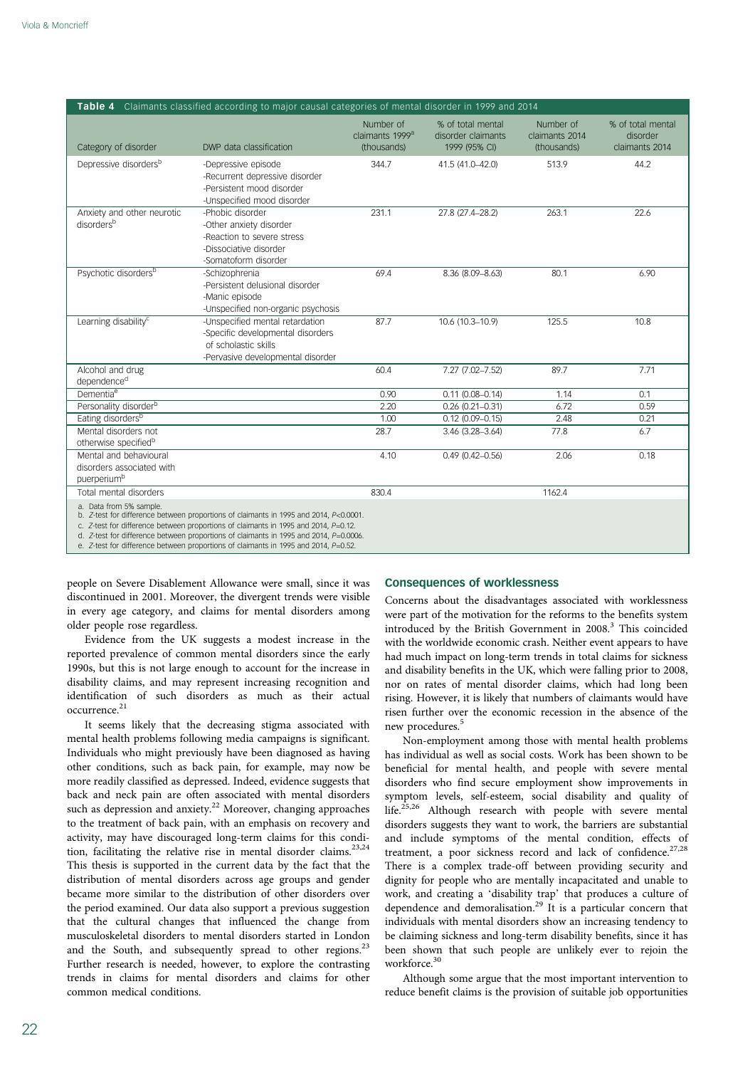<span id="page-4-0"></span>

| Table 4 Claimants classified according to major causal categories of mental disorder in 1999 and 2014 |                                                                                                                                                                                                                                                                                                                                                              |                                                         |                                                          |                                            |                                                 |
|-------------------------------------------------------------------------------------------------------|--------------------------------------------------------------------------------------------------------------------------------------------------------------------------------------------------------------------------------------------------------------------------------------------------------------------------------------------------------------|---------------------------------------------------------|----------------------------------------------------------|--------------------------------------------|-------------------------------------------------|
| Category of disorder                                                                                  | DWP data classification                                                                                                                                                                                                                                                                                                                                      | Number of<br>claimants 1999 <sup>a</sup><br>(thousands) | % of total mental<br>disorder claimants<br>1999 (95% CI) | Number of<br>claimants 2014<br>(thousands) | % of total mental<br>disorder<br>claimants 2014 |
| Depressive disorders <sup>b</sup>                                                                     | -Depressive episode<br>-Recurrent depressive disorder<br>-Persistent mood disorder<br>-Unspecified mood disorder                                                                                                                                                                                                                                             | 344.7                                                   | 41.5 (41.0-42.0)                                         | 513.9                                      | 44.2                                            |
| Anxiety and other neurotic<br>disorders <sup>b</sup>                                                  | -Phobic disorder<br>-Other anxiety disorder<br>-Reaction to severe stress<br>-Dissociative disorder<br>-Somatoform disorder                                                                                                                                                                                                                                  | 231.1                                                   | 27.8 (27.4-28.2)                                         | 263.1                                      | 22.6                                            |
| Psychotic disorders <sup>b</sup>                                                                      | -Schizophrenia<br>-Persistent delusional disorder<br>-Manic episode<br>-Unspecified non-organic psychosis                                                                                                                                                                                                                                                    | 69.4                                                    | 8.36 (8.09-8.63)                                         | 80.1                                       | 6.90                                            |
| Learning disability <sup>c</sup>                                                                      | -Unspecified mental retardation<br>-Specific developmental disorders<br>of scholastic skills<br>-Pervasive developmental disorder                                                                                                                                                                                                                            | 87.7                                                    | 10.6 (10.3-10.9)                                         | 125.5                                      | 10.8                                            |
| Alcohol and drug<br>dependence <sup>d</sup>                                                           |                                                                                                                                                                                                                                                                                                                                                              | 60.4                                                    | 7.27 (7.02-7.52)                                         | 89.7                                       | 7.71                                            |
| Dementia <sup>e</sup>                                                                                 |                                                                                                                                                                                                                                                                                                                                                              | 0.90                                                    | $0.11(0.08 - 0.14)$                                      | 1.14                                       | 0.1                                             |
| Personality disorder <sup>b</sup>                                                                     |                                                                                                                                                                                                                                                                                                                                                              | 2.20                                                    | $0.26(0.21 - 0.31)$                                      | 6.72                                       | 0.59                                            |
| Eating disorders <sup>b</sup>                                                                         |                                                                                                                                                                                                                                                                                                                                                              | 1.00                                                    | $0.12(0.09 - 0.15)$                                      | 2.48                                       | 0.21                                            |
| Mental disorders not<br>otherwise specified <sup>b</sup>                                              |                                                                                                                                                                                                                                                                                                                                                              | 28.7                                                    | 3.46 (3.28-3.64)                                         | 77.8                                       | 6.7                                             |
| Mental and behavioural<br>disorders associated with<br>puerperium <sup>b</sup>                        |                                                                                                                                                                                                                                                                                                                                                              | 4.10                                                    | $0.49(0.42 - 0.56)$                                      | 2.06                                       | 0.18                                            |
| Total mental disorders                                                                                |                                                                                                                                                                                                                                                                                                                                                              | 830.4                                                   |                                                          | 1162.4                                     |                                                 |
| a. Data from 5% sample.                                                                               | b. Z-test for difference between proportions of claimants in 1995 and 2014, P<0.0001.<br>c. Z-test for difference between proportions of claimants in 1995 and 2014, P=0.12.<br>d. Z-test for difference between proportions of claimants in 1995 and 2014, P=0.0006.<br>e. Z-test for difference between proportions of claimants in 1995 and 2014, P=0.52. |                                                         |                                                          |                                            |                                                 |

people on Severe Disablement Allowance were small, since it was discontinued in 2001. Moreover, the divergent trends were visible in every age category, and claims for mental disorders among older people rose regardless.

Evidence from the UK suggests a modest increase in the reported prevalence of common mental disorders since the early 1990s, but this is not large enough to account for the increase in disability claims, and may represent increasing recognition and identification of such disorders as much as their actual occurrence.<sup>[21](#page-6-0)</sup>

It seems likely that the decreasing stigma associated with mental health problems following media campaigns is significant. Individuals who might previously have been diagnosed as having other conditions, such as back pain, for example, may now be more readily classified as depressed. Indeed, evidence suggests that back and neck pain are often associated with mental disorders such as depression and anxiety.<sup>[22](#page-6-0)</sup> Moreover, changing approaches to the treatment of back pain, with an emphasis on recovery and activity, may have discouraged long-term claims for this condi-tion, facilitating the relative rise in mental disorder claims.<sup>[23,24](#page-6-0)</sup> This thesis is supported in the current data by the fact that the distribution of mental disorders across age groups and gender became more similar to the distribution of other disorders over the period examined. Our data also support a previous suggestion that the cultural changes that influenced the change from musculoskeletal disorders to mental disorders started in London and the South, and subsequently spread to other regions.<sup>[23](#page-6-0)</sup> Further research is needed, however, to explore the contrasting trends in claims for mental disorders and claims for other common medical conditions.

## Consequences of worklessness

Concerns about the disadvantages associated with worklessness were part of the motivation for the reforms to the benefits system introduced by the British Government in 2008.<sup>[3](#page-5-0)</sup> This coincided with the worldwide economic crash. Neither event appears to have had much impact on long-term trends in total claims for sickness and disability benefits in the UK, which were falling prior to 2008, nor on rates of mental disorder claims, which had long been rising. However, it is likely that numbers of claimants would have risen further over the economic recession in the absence of the new procedures.<sup>[5](#page-5-0)</sup>

Non-employment among those with mental health problems has individual as well as social costs. Work has been shown to be beneficial for mental health, and people with severe mental disorders who find secure employment show improvements in symptom levels, self-esteem, social disability and quality of life.<sup>[25,26](#page-6-0)</sup> Although research with people with severe mental disorders suggests they want to work, the barriers are substantial and include symptoms of the mental condition, effects of treatment, a poor sickness record and lack of confidence.<sup>[27,28](#page-6-0)</sup> There is a complex trade-off between providing security and dignity for people who are mentally incapacitated and unable to work, and creating a 'disability trap' that produces a culture of dependence and demoralisation.[29](#page-6-0) It is a particular concern that individuals with mental disorders show an increasing tendency to be claiming sickness and long-term disability benefits, since it has been shown that such people are unlikely ever to rejoin the workforce.<sup>[30](#page-6-0)</sup>

Although some argue that the most important intervention to reduce benefit claims is the provision of suitable job opportunities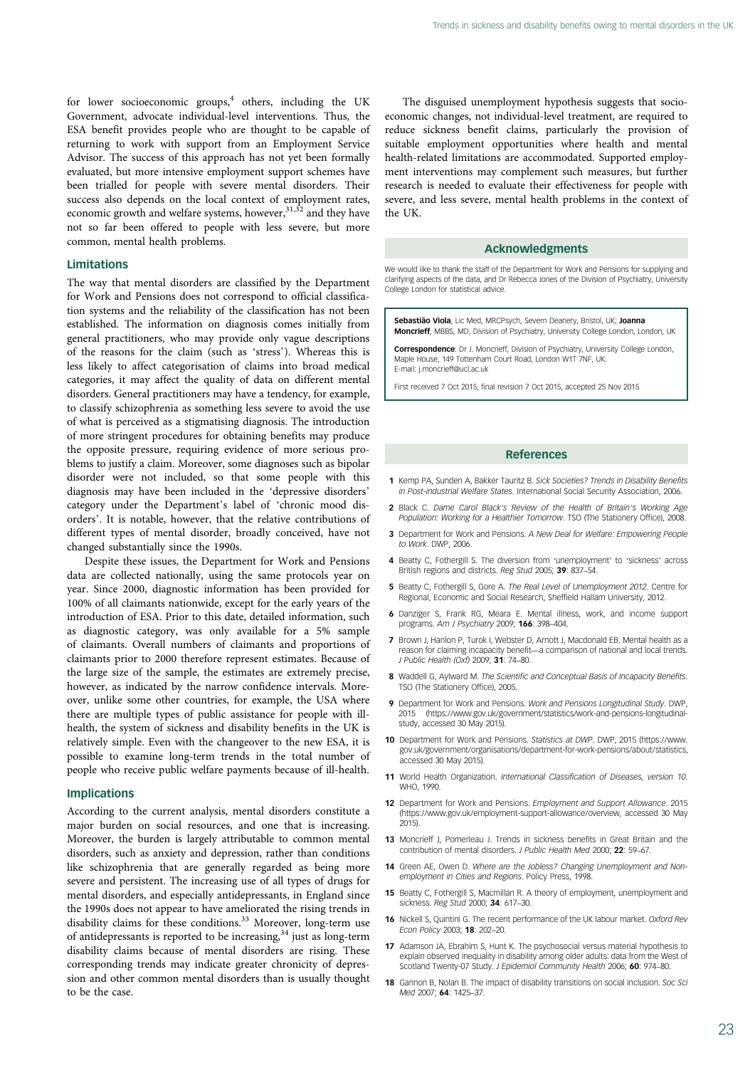<span id="page-5-0"></span>for lower socioeconomic groups,<sup>4</sup> others, including the UK Government, advocate individual-level interventions. Thus, the ESA benefit provides people who are thought to be capable of returning to work with support from an Employment Service Advisor. The success of this approach has not yet been formally evaluated, but more intensive employment support schemes have been trialled for people with severe mental disorders. Their success also depends on the local context of employment rates, economic growth and welfare systems, however,  $31,32$  and they have not so far been offered to people with less severe, but more common, mental health problems.

## Limitations

The way that mental disorders are classified by the Department for Work and Pensions does not correspond to official classification systems and the reliability of the classification has not been established. The information on diagnosis comes initially from general practitioners, who may provide only vague descriptions of the reasons for the claim (such as 'stress'). Whereas this is less likely to affect categorisation of claims into broad medical categories, it may affect the quality of data on different mental disorders. General practitioners may have a tendency, for example, to classify schizophrenia as something less severe to avoid the use of what is perceived as a stigmatising diagnosis. The introduction of more stringent procedures for obtaining benefits may produce the opposite pressure, requiring evidence of more serious problems to justify a claim. Moreover, some diagnoses such as bipolar disorder were not included, so that some people with this diagnosis may have been included in the 'depressive disorders' category under the Department's label of 'chronic mood disorders'. It is notable, however, that the relative contributions of different types of mental disorder, broadly conceived, have not changed substantially since the 1990s.

Despite these issues, the Department for Work and Pensions data are collected nationally, using the same protocols year on year. Since 2000, diagnostic information has been provided for 100% of all claimants nationwide, except for the early years of the introduction of ESA. Prior to this date, detailed information, such as diagnostic category, was only available for a 5% sample of claimants. Overall numbers of claimants and proportions of claimants prior to 2000 therefore represent estimates. Because of the large size of the sample, the estimates are extremely precise, however, as indicated by the narrow confidence intervals. Moreover, unlike some other countries, for example, the USA where there are multiple types of public assistance for people with illhealth, the system of sickness and disability benefits in the UK is relatively simple. Even with the changeover to the new ESA, it is possible to examine long-term trends in the total number of people who receive public welfare payments because of ill-health.

#### **Implications**

According to the current analysis, mental disorders constitute a major burden on social resources, and one that is increasing. Moreover, the burden is largely attributable to common mental disorders, such as anxiety and depression, rather than conditions like schizophrenia that are generally regarded as being more severe and persistent. The increasing use of all types of drugs for mental disorders, and especially antidepressants, in England since the 1990s does not appear to have ameliorated the rising trends in disability claims for these conditions.<sup>[33](#page-6-0)</sup> Moreover, long-term use of antidepressants is reported to be increasing, $34$  just as long-term disability claims because of mental disorders are rising. These corresponding trends may indicate greater chronicity of depression and other common mental disorders than is usually thought to be the case.

The disguised unemployment hypothesis suggests that socioeconomic changes, not individual-level treatment, are required to reduce sickness benefit claims, particularly the provision of suitable employment opportunities where health and mental health-related limitations are accommodated. Supported employment interventions may complement such measures, but further research is needed to evaluate their effectiveness for people with severe, and less severe, mental health problems in the context of the UK.

#### Acknowledgments

We would like to thank the staff of the Department for Work and Pensions for supplying and clarifying aspects of the data, and Dr Rebecca Jones of the Division of Psychiatry, University College London for statistical advice.

Sebastião Viola, Lic Med, MRCPsych, Severn Deanery, Bristol, UK; Joanna Moncrieff, MBBS, MD, Division of Psychiatry, University College London, London, UK

Correspondence: Dr J. Moncrieff, Division of Psychiatry, University College London, Maple House, 149 Tottenham Court Road, London W1T 7NF, UK. E-mail: j.moncrieff@ucl.ac.uk

First received 7 Oct 2015, final revision 7 Oct 2015, accepted 25 Nov 2015

#### References

- 1 Kemp PA, Sunden A, Bakker Tauritz B. Sick Societies? Trends in Disability Benefits in Post-industrial Welfare States. International Social Security Association, 2006.
- 2 Black C. Dame Carol Black's Review of the Health of Britain's Working Age Population: Working for a Healthier Tomorrow. TSO (The Stationery Office), 2008.
- 3 Department for Work and Pensions. A New Deal for Welfare: Empowering People to Work. DWP, 2006
- 4 Beatty C, Fothergill S. The diversion from 'unemployment' to 'sickness' across British regions and districts. Reg Stud 2005: 39: 837-54.
- 5 Beatty C, Fothergill S, Gore A. The Real Level of Unemployment 2012. Centre for Regional, Economic and Social Research, Sheffield Hallam University, 2012.
- 6 Danziger S, Frank RG, Meara E. Mental illness, work, and income support programs. Am J Psychiatry 2009; 166: 398–404.
- 7 Brown J, Hanlon P, Turok I, Webster D, Arnott J, Macdonald EB. Mental health as a reason for claiming incapacity benefit—a comparison of national and local trends. J Public Health (Oxf) 2009; 31: 74–80.
- 8 Waddell G, Aylward M. The Scientific and Conceptual Basis of Incapacity Benefits. TSO (The Stationery Office), 2005.
- 9 Department for Work and Pensions. Work and Pensions Longitudinal Study. DWP, 2015 [\(https://www.gov.uk/government/statistics/work-and-pensions-longitudinal](https://www.gov.uk/government/statistics/work-and-pensions-longitudinal-study)[study, accessed 30 May 2015\).](https://www.gov.uk/government/statistics/work-and-pensions-longitudinal-study)
- 10 Department for Work and Pensions. Statistics at DWP. DWP, 2015 ([https://www.](https://www.gov.uk/government/organisations/department-for-work-pensions/about/statistics) [gov.uk/government/organisations/department-for-work-pensions/about/statistics,](https://www.gov.uk/government/organisations/department-for-work-pensions/about/statistics) [accessed 30 May 2015\).](https://www.gov.uk/government/organisations/department-for-work-pensions/about/statistics)
- 11 World Health Organization. International Classification of Diseases, version 10. WHO, 1990.
- 12 Department for Work and Pensions. Employment and Support Allowance. 2015 ([https://www.gov.uk/employment-support-allowance/overview, accessed 30 May](https://www.gov.uk/employment-support-allowance/overview) [2015\).](https://www.gov.uk/employment-support-allowance/overview)
- 13 Moncrieff J, Pomerleau J. Trends in sickness benefits in Great Britain and the contribution of mental disorders. J Public Health Med 2000; 22: 59–67.
- 14 Green AF, Owen D. Where are the Jobless? Changing Unemployment and Nonemployment in Cities and Regions. Policy Press, 1998.
- 15 Beatty C, Fothergill S, Macmillan R. A theory of employment, unemployment and sickness. Reg Stud 2000; 34: 617–30.
- 16 Nickell S, Quintini G. The recent performance of the UK labour market. Oxford Rev Econ Policy 2003; 18: 202–20.
- 17 Adamson JA, Ebrahim S, Hunt K. The psychosocial versus material hypothesis to explain observed inequality in disability among older adults: data from the West of Scotland Twenty-07 Study. J Epidemiol Community Health 2006; 60: 974-80.
- 18 Gannon B, Nolan B. The impact of disability transitions on social inclusion. Soc Sci Med 2007; 64: 1425–37.